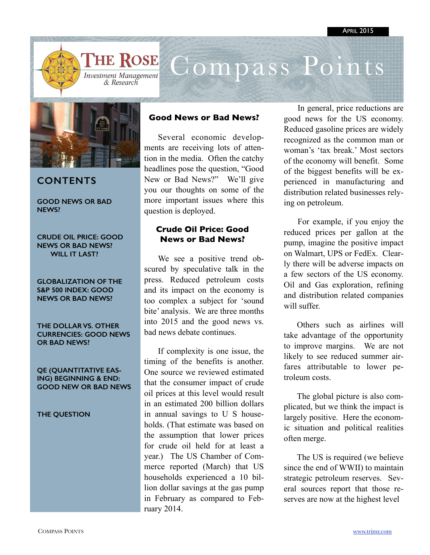

# Compass Points



# **CONTENTS**

**GOOD NEWS OR BAD NEWS?** 

**CRUDE OIL PRICE: GOOD NEWS OR BAD NEWS? WILL IT LAST?** 

**GLOBALIZATION OF THE S&P 500 INDEX: GOOD NEWS OR BAD NEWS?** 

**THE DOLLAR VS. OTHER CURRENCIES: GOOD NEWS OR BAD NEWS?** 

**QE (QUANTITATIVE EAS-ING) BEGINNING & END: GOOD NEW OR BAD NEWS** 

**THE QUESTION** 

### **Good News or Bad News?**

Several economic developments are receiving lots of attention in the media. Often the catchy headlines pose the question, "Good New or Bad News?" We'll give you our thoughts on some of the more important issues where this question is deployed.

### **Crude Oil Price: Good News or Bad News?**

We see a positive trend obscured by speculative talk in the press. Reduced petroleum costs and its impact on the economy is too complex a subject for 'sound bite' analysis. We are three months into 2015 and the good news vs. bad news debate continues.

If complexity is one issue, the timing of the benefits is another. One source we reviewed estimated that the consumer impact of crude oil prices at this level would result in an estimated 200 billion dollars in annual savings to U S households. (That estimate was based on the assumption that lower prices for crude oil held for at least a year.) The US Chamber of Commerce reported (March) that US households experienced a 10 billion dollar savings at the gas pump in February as compared to February 2014.

In general, price reductions are good news for the US economy. Reduced gasoline prices are widely recognized as the common man or woman's 'tax break.' Most sectors of the economy will benefit. Some of the biggest benefits will be experienced in manufacturing and distribution related businesses relying on petroleum.

For example, if you enjoy the reduced prices per gallon at the pump, imagine the positive impact on Walmart, UPS or FedEx. Clearly there will be adverse impacts on a few sectors of the US economy. Oil and Gas exploration, refining and distribution related companies will suffer.

Others such as airlines will take advantage of the opportunity to improve margins. We are not likely to see reduced summer airfares attributable to lower petroleum costs.

The global picture is also complicated, but we think the impact is largely positive. Here the economic situation and political realities often merge.

The US is required (we believe since the end of WWII) to maintain strategic petroleum reserves. Several sources report that those reserves are now at the highest level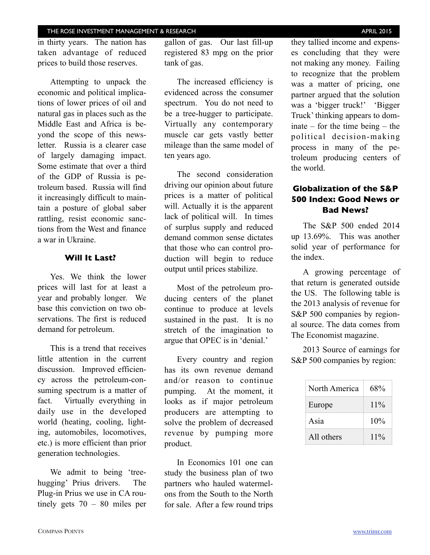#### THE ROSE INVESTMENT MANAGEMENT & RESEARCH **THE ROSE INVESTMENT MANAGEMENT & RESEARCH**

in thirty years. The nation has taken advantage of reduced prices to build those reserves.

Attempting to unpack the economic and political implications of lower prices of oil and natural gas in places such as the Middle East and Africa is beyond the scope of this newsletter. Russia is a clearer case of largely damaging impact. Some estimate that over a third of the GDP of Russia is petroleum based. Russia will find it increasingly difficult to maintain a posture of global saber rattling, resist economic sanctions from the West and finance a war in Ukraine.

#### **Will It Last?**

Yes. We think the lower prices will last for at least a year and probably longer. We base this conviction on two observations. The first is reduced demand for petroleum.

This is a trend that receives little attention in the current discussion. Improved efficiency across the petroleum-consuming spectrum is a matter of fact. Virtually everything in daily use in the developed world (heating, cooling, lighting, automobiles, locomotives, etc.) is more efficient than prior generation technologies.

We admit to being 'treehugging' Prius drivers. The Plug-in Prius we use in CA routinely gets 70 – 80 miles per gallon of gas. Our last fill-up registered 83 mpg on the prior tank of gas.

The increased efficiency is evidenced across the consumer spectrum. You do not need to be a tree-hugger to participate. Virtually any contemporary muscle car gets vastly better mileage than the same model of ten years ago.

The second consideration driving our opinion about future prices is a matter of political will. Actually it is the apparent lack of political will. In times of surplus supply and reduced demand common sense dictates that those who can control production will begin to reduce output until prices stabilize.

Most of the petroleum producing centers of the planet continue to produce at levels sustained in the past. It is no stretch of the imagination to argue that OPEC is in 'denial.'

Every country and region has its own revenue demand and/or reason to continue pumping. At the moment, it looks as if major petroleum producers are attempting to solve the problem of decreased revenue by pumping more product.

In Economics 101 one can study the business plan of two partners who hauled watermelons from the South to the North for sale. After a few round trips

they tallied income and expenses concluding that they were not making any money. Failing to recognize that the problem was a matter of pricing, one partner argued that the solution was a 'bigger truck!' 'Bigger Truck' thinking appears to dominate – for the time being – the political decision-making process in many of the petroleum producing centers of the world.

# **Globalization of the S&P 500 Index: Good News or Bad News?**

The S&P 500 ended 2014 up 13.69%. This was another solid year of performance for the index.

A growing percentage of that return is generated outside the US. The following table is the 2013 analysis of revenue for S&P 500 companies by regional source. The data comes from The Economist magazine.

2013 Source of earnings for S&P 500 companies by region:

| North America | 68%    |
|---------------|--------|
| Europe        | $11\%$ |
| Asia          | 10%    |
| All others    | $11\%$ |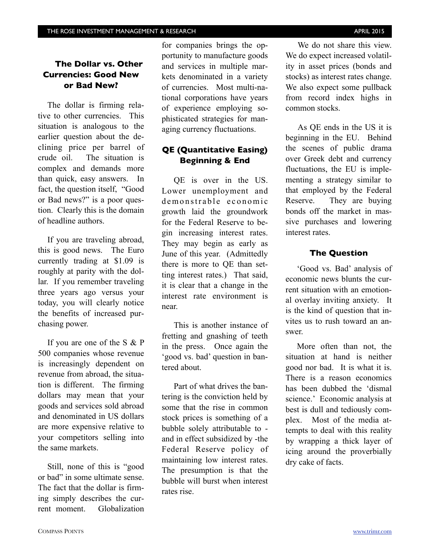# **The Dollar vs. Other Currencies: Good New or Bad New?**

The dollar is firming relative to other currencies. This situation is analogous to the earlier question about the declining price per barrel of crude oil. The situation is complex and demands more than quick, easy answers. In fact, the question itself, "Good or Bad news?" is a poor question. Clearly this is the domain of headline authors.

If you are traveling abroad, this is good news. The Euro currently trading at \$1.09 is roughly at parity with the dollar. If you remember traveling three years ago versus your today, you will clearly notice the benefits of increased purchasing power.

If you are one of the S & P 500 companies whose revenue is increasingly dependent on revenue from abroad, the situation is different. The firming dollars may mean that your goods and services sold abroad and denominated in US dollars are more expensive relative to your competitors selling into the same markets.

Still, none of this is "good or bad" in some ultimate sense. The fact that the dollar is firming simply describes the current moment. Globalization

for companies brings the opportunity to manufacture goods and services in multiple markets denominated in a variety of currencies. Most multi-national corporations have years of experience employing sophisticated strategies for managing currency fluctuations.

# **QE (Quantitative Easing) Beginning & End**

QE is over in the US. Lower unemployment and demonstrable economic growth laid the groundwork for the Federal Reserve to begin increasing interest rates. They may begin as early as June of this year. (Admittedly there is more to QE than setting interest rates.) That said, it is clear that a change in the interest rate environment is near.

This is another instance of fretting and gnashing of teeth in the press. Once again the 'good vs. bad' question in bantered about.

Part of what drives the bantering is the conviction held by some that the rise in common stock prices is something of a bubble solely attributable to and in effect subsidized by -the Federal Reserve policy of maintaining low interest rates. The presumption is that the bubble will burst when interest rates rise.

We do not share this view. We do expect increased volatility in asset prices (bonds and stocks) as interest rates change. We also expect some pullback from record index highs in common stocks.

As QE ends in the US it is beginning in the EU. Behind the scenes of public drama over Greek debt and currency fluctuations, the EU is implementing a strategy similar to that employed by the Federal Reserve. They are buying bonds off the market in massive purchases and lowering interest rates.

#### **The Question**

'Good vs. Bad' analysis of economic news blunts the current situation with an emotional overlay inviting anxiety. It is the kind of question that invites us to rush toward an answer.

More often than not, the situation at hand is neither good nor bad. It is what it is. There is a reason economics has been dubbed the 'dismal science.' Economic analysis at best is dull and tediously complex. Most of the media attempts to deal with this reality by wrapping a thick layer of icing around the proverbially dry cake of facts.